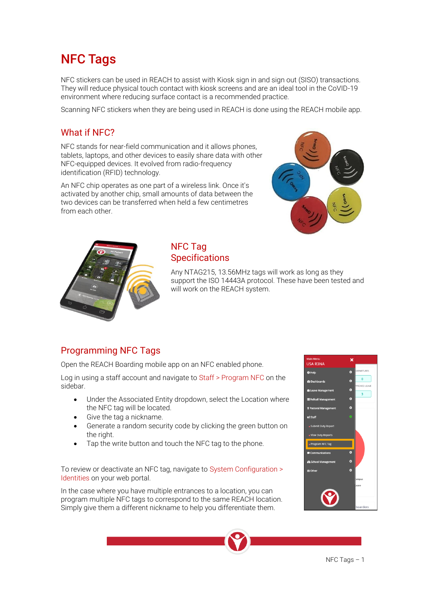# NFC Tags

NFC stickers can be used in REACH to assist with Kiosk sign in and sign out (SISO) transactions. They will reduce physical touch contact with kiosk screens and are an ideal tool in the CoVID-19 environment where reducing surface contact is a recommended practice.

Scanning NFC stickers when they are being used in REACH is done using the REACH mobile app.

#### What if NFC?

NFC stands for near-field communication and it allows phones, tablets, laptops, and other devices to easily share data with other NFC-equipped devices. It evolved from radio-frequency identification (RFID) technology.

An NFC chip operates as one part of a wireless link. Once it's activated by another chip, small amounts of data between the two devices can be transferred when held a few centimetres from each other.





#### NFC Tag **Specifications**

Any NTAG215, 13.56MHz tags will work as long as they support the ISO 14443A protocol. These have been tested and will work on the REACH system.

## Programming NFC Tags

Open the REACH Boarding mobile app on an NFC enabled phone.

Log in using a staff account and navigate to Staff > Program NFC on the sidebar.

- Under the Associated Entity dropdown, select the Location where the NFC tag will be located.
- Give the tag a nickname.
- Generate a random security code by clicking the green button on the right.
- Tap the write button and touch the NFC tag to the phone.

To review or deactivate an NFC tag, navigate to System Configuration > Identities on your web portal.

In the case where you have multiple entrances to a location, you can program multiple NFC tags to correspond to the same REACH location. Simply give them a different nickname to help you differentiate them.